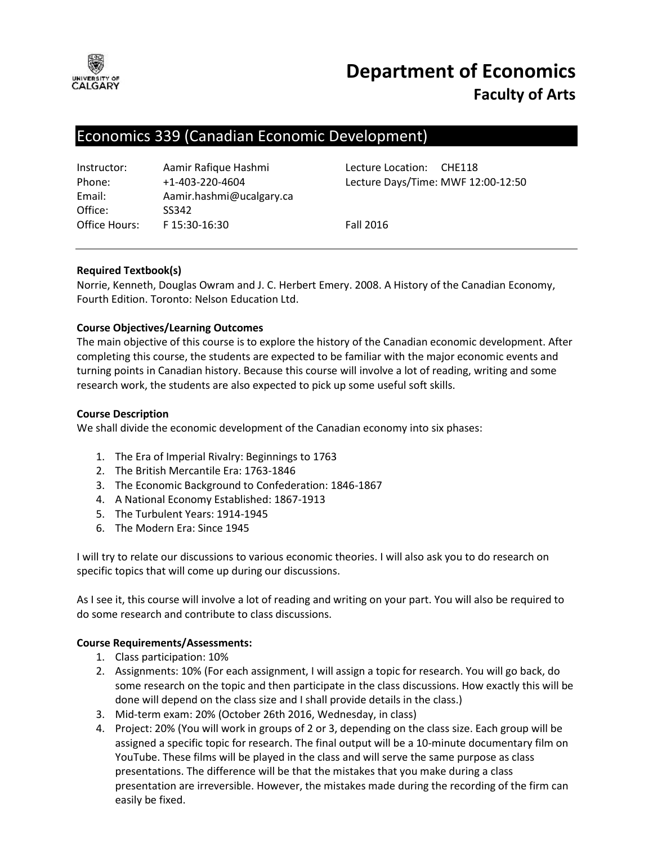

# **Department of Economics Faculty of Arts**

# Economics 339 (Canadian Economic Development)

| Instructor:   | Aamir Rafique Hashmi     |
|---------------|--------------------------|
| Phone:        | +1-403-220-4604          |
| Email:        | Aamir.hashmi@ucalgary.ca |
| Office:       | SS342                    |
| Office Hours: | F15:30-16:30             |

Lecture Location: CHE118 Lecture Days/Time: MWF 12:00-12:50

**Fall 2016** 

# **Required Textbook(s)**

Norrie, Kenneth, Douglas Owram and J. C. Herbert Emery. 2008. A History of the Canadian Economy, Fourth Edition. Toronto: Nelson Education Ltd.

# **Course Objectives/Learning Outcomes**

The main objective of this course is to explore the history of the Canadian economic development. After completing this course, the students are expected to be familiar with the major economic events and turning points in Canadian history. Because this course will involve a lot of reading, writing and some research work, the students are also expected to pick up some useful soft skills.

# **Course Description**

We shall divide the economic development of the Canadian economy into six phases:

- 1. The Era of Imperial Rivalry: Beginnings to 1763
- 2. The British Mercantile Era: 1763-1846
- 3. The Economic Background to Confederation: 1846-1867
- 4. A National Economy Established: 1867-1913
- 5. The Turbulent Years: 1914-1945
- 6. The Modern Era: Since 1945

I will try to relate our discussions to various economic theories. I will also ask you to do research on specific topics that will come up during our discussions.

As I see it, this course will involve a lot of reading and writing on your part. You will also be required to do some research and contribute to class discussions.

# **Course Requirements/Assessments:**

- 1. Class participation: 10%
- 2. Assignments: 10% (For each assignment, I will assign a topic for research. You will go back, do some research on the topic and then participate in the class discussions. How exactly this will be done will depend on the class size and I shall provide details in the class.)
- 3. Mid-term exam: 20% (October 26th 2016, Wednesday, in class)
- 4. Project: 20% (You will work in groups of 2 or 3, depending on the class size. Each group will be assigned a specific topic for research. The final output will be a 10-minute documentary film on YouTube. These films will be played in the class and will serve the same purpose as class presentations. The difference will be that the mistakes that you make during a class presentation are irreversible. However, the mistakes made during the recording of the firm can easily be fixed.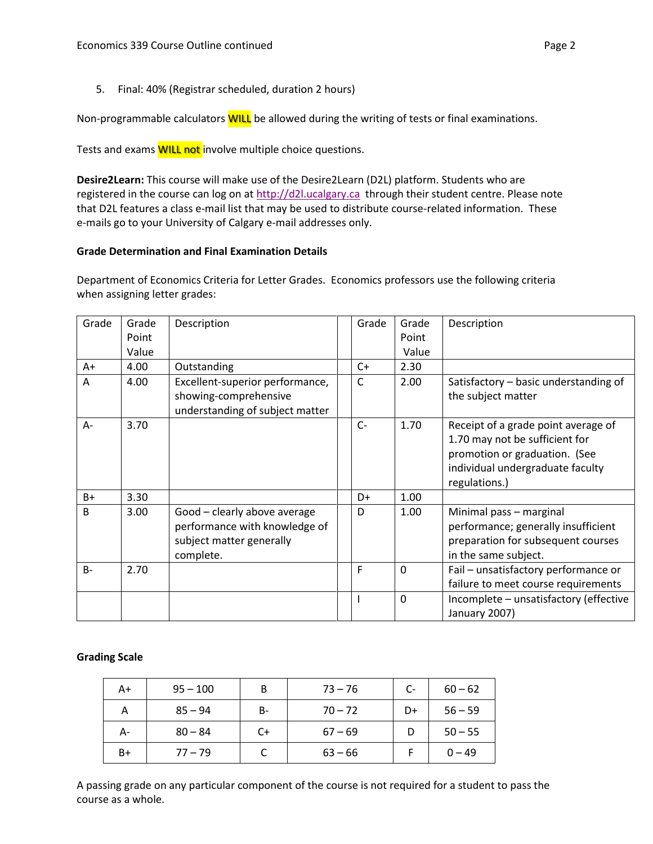5. Final: 40% (Registrar scheduled, duration 2 hours)

Non-programmable calculators **WILL** be allowed during the writing of tests or final examinations.

Tests and exams **WILL not** involve multiple choice questions.

**Desire2Learn:** This course will make use of the Desire2Learn (D2L) platform. Students who are registered in the course can log on at [http://d2l.ucalgary.ca](http://d2l.ucalgary.ca/) through their student centre. Please note that D2L features a class e-mail list that may be used to distribute course-related information. These e-mails go to your University of Calgary e-mail addresses only.

# **Grade Determination and Final Examination Details**

Department of Economics Criteria for Letter Grades. Economics professors use the following criteria when assigning letter grades:

| Grade        | Grade<br>Point | Description                                                                                            | Grade        | Grade<br>Point | Description                                                                                                                                                 |
|--------------|----------------|--------------------------------------------------------------------------------------------------------|--------------|----------------|-------------------------------------------------------------------------------------------------------------------------------------------------------------|
|              | Value          |                                                                                                        |              | Value          |                                                                                                                                                             |
| A+           | 4.00           | Outstanding                                                                                            | $C+$         | 2.30           |                                                                                                                                                             |
| A            | 4.00           | Excellent-superior performance,<br>showing-comprehensive<br>understanding of subject matter            | C            | 2.00           | Satisfactory - basic understanding of<br>the subject matter                                                                                                 |
| $A -$        | 3.70           |                                                                                                        | $C-$         | 1.70           | Receipt of a grade point average of<br>1.70 may not be sufficient for<br>promotion or graduation. (See<br>individual undergraduate faculty<br>regulations.) |
| $B+$         | 3.30           |                                                                                                        | D+           | 1.00           |                                                                                                                                                             |
| <sub>B</sub> | 3.00           | Good - clearly above average<br>performance with knowledge of<br>subject matter generally<br>complete. | D            | 1.00           | Minimal pass - marginal<br>performance; generally insufficient<br>preparation for subsequent courses<br>in the same subject.                                |
| $B -$        | 2.70           |                                                                                                        | F            | $\Omega$       | Fail - unsatisfactory performance or<br>failure to meet course requirements                                                                                 |
|              |                |                                                                                                        | $\mathbf{I}$ | $\Omega$       | Incomplete - unsatisfactory (effective<br>January 2007)                                                                                                     |

# **Grading Scale**

| A+ | $95 - 100$ | B  | $73 - 76$ | $C-$ | $60 - 62$ |
|----|------------|----|-----------|------|-----------|
| А  | $85 - 94$  | B- | $70 - 72$ | D+   | $56 - 59$ |
| А- | $80 - 84$  | C+ | $67 - 69$ |      | $50 - 55$ |
| B+ | $77 - 79$  |    | $63 - 66$ |      | $0 - 49$  |

A passing grade on any particular component of the course is not required for a student to pass the course as a whole.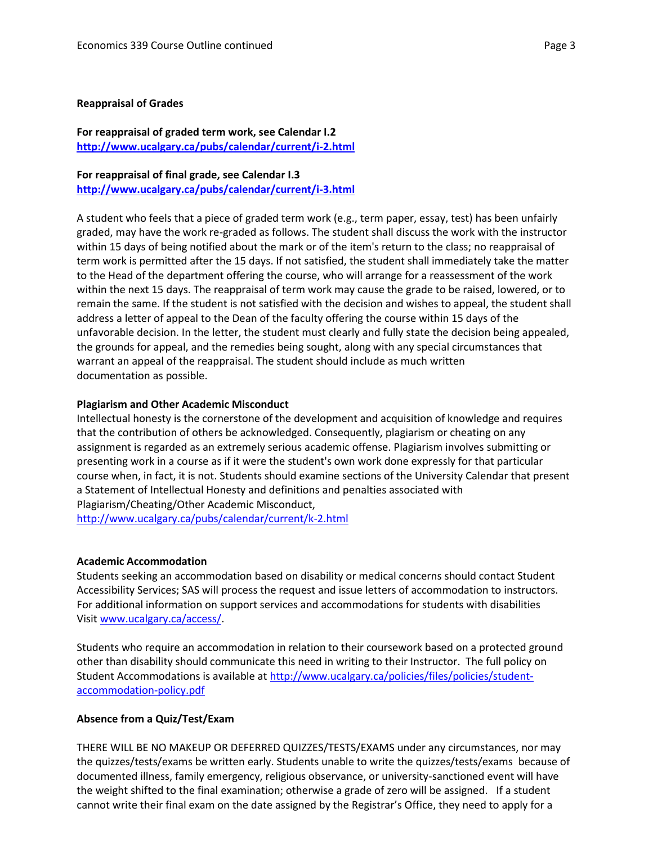#### **Reappraisal of Grades**

# **For reappraisal of graded term work, see Calendar I.2 <http://www.ucalgary.ca/pubs/calendar/current/i-2.html>**

**For reappraisal of final grade, see Calendar I.3 <http://www.ucalgary.ca/pubs/calendar/current/i-3.html>**

A student who feels that a piece of graded term work (e.g., term paper, essay, test) has been unfairly graded, may have the work re-graded as follows. The student shall discuss the work with the instructor within 15 days of being notified about the mark or of the item's return to the class; no reappraisal of term work is permitted after the 15 days. If not satisfied, the student shall immediately take the matter to the Head of the department offering the course, who will arrange for a reassessment of the work within the next 15 days. The reappraisal of term work may cause the grade to be raised, lowered, or to remain the same. If the student is not satisfied with the decision and wishes to appeal, the student shall address a letter of appeal to the Dean of the faculty offering the course within 15 days of the unfavorable decision. In the letter, the student must clearly and fully state the decision being appealed, the grounds for appeal, and the remedies being sought, along with any special circumstances that warrant an appeal of the reappraisal. The student should include as much written documentation as possible.

#### **Plagiarism and Other Academic Misconduct**

Intellectual honesty is the cornerstone of the development and acquisition of knowledge and requires that the contribution of others be acknowledged. Consequently, plagiarism or cheating on any assignment is regarded as an extremely serious academic offense. Plagiarism involves submitting or presenting work in a course as if it were the student's own work done expressly for that particular course when, in fact, it is not. Students should examine sections of the University Calendar that present a Statement of Intellectual Honesty and definitions and penalties associated with Plagiarism/Cheating/Other Academic Misconduct,

<http://www.ucalgary.ca/pubs/calendar/current/k-2.html>

#### **Academic Accommodation**

Students seeking an accommodation based on disability or medical concerns should contact Student Accessibility Services; SAS will process the request and issue letters of accommodation to instructors. For additional information on support services and accommodations for students with disabilities Visit [www.ucalgary.ca/access/.](http://www.ucalgary.ca/access/)

Students who require an accommodation in relation to their coursework based on a protected ground other than disability should communicate this need in writing to their Instructor. The full policy on Student Accommodations is available at [http://www.ucalgary.ca/policies/files/policies/student](http://www.ucalgary.ca/policies/files/policies/student-accommodation-policy.pdf)[accommodation-policy.pdf](http://www.ucalgary.ca/policies/files/policies/student-accommodation-policy.pdf)

# **Absence from a Quiz/Test/Exam**

THERE WILL BE NO MAKEUP OR DEFERRED QUIZZES/TESTS/EXAMS under any circumstances, nor may the quizzes/tests/exams be written early. Students unable to write the quizzes/tests/exams because of documented illness, family emergency, religious observance, or university-sanctioned event will have the weight shifted to the final examination; otherwise a grade of zero will be assigned. If a student cannot write their final exam on the date assigned by the Registrar's Office, they need to apply for a